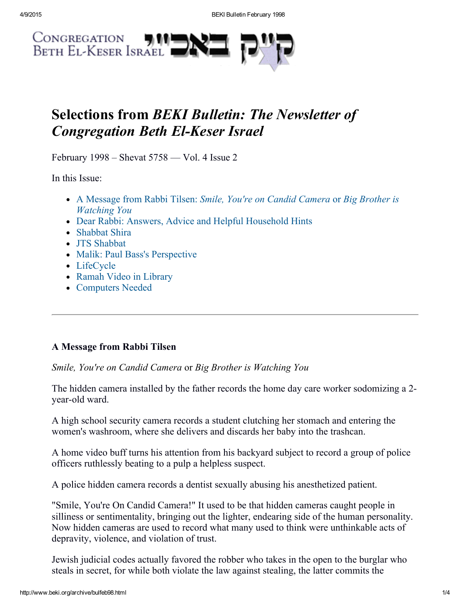

# Selections from BEKI Bulletin: The Newsletter of **Congregation Beth El-Keser Israel**

February 1998 – Shevat 5758 — Vol. 4 Issue 2

In this Issue:

- A Message from Rabbi Tilsen: Smile, You're on Candid Camera or Big Brother is Watching You
- Dear Rabbi: Answers, Advice and Helpful [Household](#page-1-0) Hints
- [Shabbat](#page-2-0) Shira
- JTS Shabbat
- Malik: Paul Bass's Perspective
- LifeCycle
- Ramah Video in Library
- Computers Needed

# A Message from Rabbi Tilsen

Smile, You're on Candid Camera or Big Brother is Watching You

The hidden camera installed by the father records the home day care worker sodomizing a 2 year-old ward.

A high school security camera records a student clutching her stomach and entering the women's washroom, where she delivers and discards her baby into the trashcan.

A home video buff turns his attention from his backyard subject to record a group of police officers ruthlessly beating to a pulp a helpless suspect.

A police hidden camera records a dentist sexually abusing his anesthetized patient.

"Smile, You're On Candid Camera!" It used to be that hidden cameras caught people in silliness or sentimentality, bringing out the lighter, endearing side of the human personality. Now hidden cameras are used to record what many used to think were unthinkable acts of depravity, violence, and violation of trust.

Jewish judicial codes actually favored the robber who takes in the open to the burglar who steals in secret, for while both violate the law against stealing, the latter commits the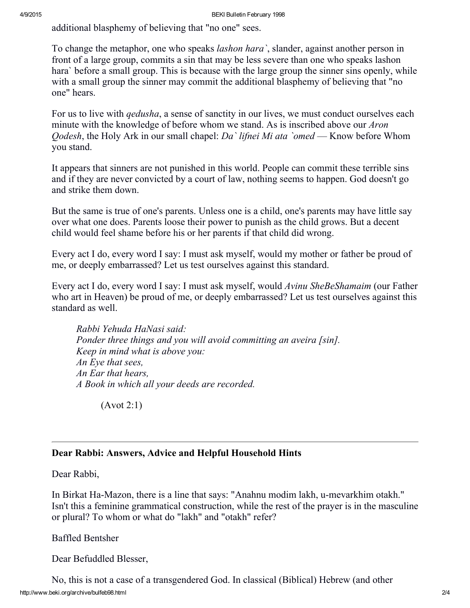additional blasphemy of believing that "no one" sees.

To change the metaphor, one who speaks *lashon hara*, slander, against another person in front of a large group, commits a sin that may be less severe than one who speaks lashon hara` before a small group. This is because with the large group the sinner sins openly, while with a small group the sinner may commit the additional blasphemy of believing that "no one" hears.

For us to live with *qedusha*, a sense of sanctity in our lives, we must conduct ourselves each minute with the knowledge of before whom we stand. As is inscribed above our *Aron Qodesh*, the Holy Ark in our small chapel: Da' lifnei Mi ata 'omed — Know before Whom you stand.

It appears that sinners are not punished in this world. People can commit these terrible sins and if they are never convicted by a court of law, nothing seems to happen. God doesn't go and strike them down.

But the same is true of one's parents. Unless one is a child, one's parents may have little say over what one does. Parents loose their power to punish as the child grows. But a decent child would feel shame before his or her parents if that child did wrong.

Every act I do, every word I say: I must ask myself, would my mother or father be proud of me, or deeply embarrassed? Let us test ourselves against this standard.

Every act I do, every word I say: I must ask myself, would Avinu SheBeShamaim (our Father who art in Heaven) be proud of me, or deeply embarrassed? Let us test ourselves against this standard as well.

Rabbi Yehuda HaNasi said: Ponder three things and you will avoid committing an aveira [sin]. Keep in mind what is above you: An Eye that sees, An Ear that hears, A Book in which all your deeds are recorded.

(Avot 2:1)

## <span id="page-1-0"></span>Dear Rabbi: Answers, Advice and Helpful Household Hints

Dear Rabbi,

In Birkat Ha-Mazon, there is a line that says: "Anahnu modim lakh, u-mevarkhim otakh." Isn't this a feminine grammatical construction, while the rest of the prayer is in the masculine or plural? To whom or what do "lakh" and "otakh" refer?

Baffled Bentsher

Dear Befuddled Blesser,

http://www.beki.org/archive/bulfeb98.html 2/4 No, this is not a case of a transgendered God. In classical (Biblical) Hebrew (and other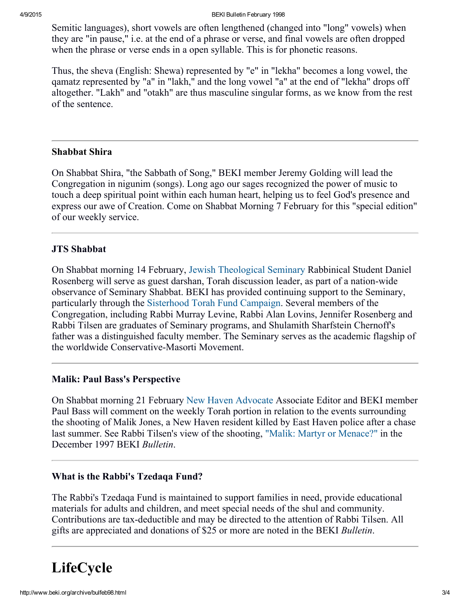4/9/2015 BEKI Bulletin February 1998

Semitic languages), short vowels are often lengthened (changed into "long" vowels) when they are "in pause," i.e. at the end of a phrase or verse, and final vowels are often dropped when the phrase or verse ends in a open syllable. This is for phonetic reasons.

Thus, the sheva (English: Shewa) represented by "e" in "lekha" becomes a long vowel, the qamatz represented by "a" in "lakh," and the long vowel "a" at the end of "lekha" drops off altogether. "Lakh" and "otakh" are thus masculine singular forms, as we know from the rest of the sentence.

## <span id="page-2-0"></span>Shabbat Shira

On Shabbat Shira, "the Sabbath of Song," BEKI member Jeremy Golding will lead the Congregation in nigunim (songs). Long ago our sages recognized the power of music to touch a deep spiritual point within each human heart, helping us to feel God's presence and express our awe of Creation. Come on Shabbat Morning 7 February for this "special edition" of our weekly service.

## JTS Shabbat

On Shabbat morning 14 February, Jewish [Theological](http://www.jtsa.edu/) Seminary Rabbinical Student Daniel Rosenberg will serve as guest darshan, Torah discussion leader, as part of a nation-wide observance of Seminary Shabbat. BEKI has provided continuing support to the Seminary, particularly through the [Sisterhood](http://www.beki.org/archive/sisterhood.html#torahfund) Torah Fund Campaign. Several members of the Congregation, including Rabbi Murray Levine, Rabbi Alan Lovins, Jennifer Rosenberg and Rabbi Tilsen are graduates of Seminary programs, and Shulamith Sharfstein Chernoff's father was a distinguished faculty member. The Seminary serves as the academic flagship of the worldwide Conservative-Masorti Movement.

## Malik: Paul Bass's Perspective

On Shabbat morning 21 February New Haven [Advocate](http://www.newmassmedia.com/) Associate Editor and BEKI member Paul Bass will comment on the weekly Torah portion in relation to the events surrounding the shooting of Malik Jones, a New Haven resident killed by East Haven police after a chase last summer. See Rabbi Tilsen's view of the shooting, "Malik: Martyr or [Menace?"](http://www.beki.org/archive/buldec98.html#message) in the December 1997 BEKI Bulletin.

# What is the Rabbi's Tzedaqa Fund?

The Rabbi's Tzedaqa Fund is maintained to support families in need, provide educational materials for adults and children, and meet special needs of the shul and community. Contributions are tax-deductible and may be directed to the attention of Rabbi Tilsen. All gifts are appreciated and donations of \$25 or more are noted in the BEKI Bulletin.